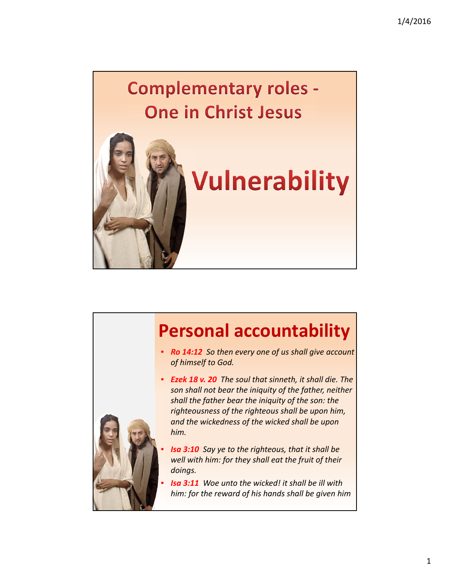## **Complementary roles -One in Christ Jesus**





- *Ro 14:12 So then every one of us shall give account of himself to God.*
- *Ezek 18 v. 20 The soul that sinneth, it shall die. The son shall not bear the iniquity of the father, neither shall the father bear the iniquity of the son: the righteousness of the righteous shall be upon him, and the wickedness of the wicked shall be upon him.*
- *Isa 3:10 Say ye to the righteous, that it shall be well with him: for they shall eat the fruit of their doings.*
- *Isa 3:11 Woe unto the wicked! it shall be ill with him: for the reward of his hands shall be given him*